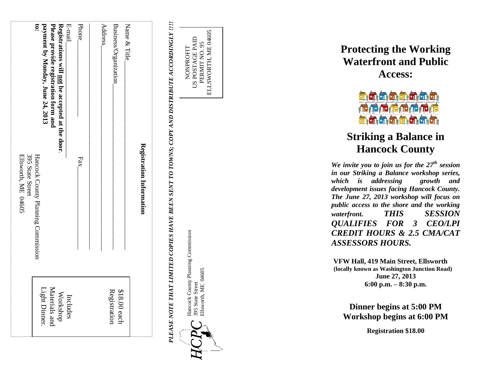| 395 State Street<br>Ellsworth, ME 04605 | E-mail<br><u>is</u><br>payment by Monday, June 24, 2013<br>Please provide registration form and<br>Registrations will <u>not</u> be accepted at the door.<br>Hancock County Planning Commission | Phone <sub>.</sub><br>Fax | Name & Title<br><b>Address</b><br>Business/Organization | Registration Information |
|-----------------------------------------|-------------------------------------------------------------------------------------------------------------------------------------------------------------------------------------------------|---------------------------|---------------------------------------------------------|--------------------------|
|                                         | Materials and<br>ight Dinner.<br>Workshop<br>Includes                                                                                                                                           |                           | Registration<br>$$18.00$ each                           |                          |

**PLEASE NOTE THAT LIMITED COPIES HAVE BEEN SENT TO TOWNS; COPY AND DISTRIBUTE ACCORDINGLY !!!!** *PLEASE NOTE THAT LIMITED COPIES HAVE BEEN SENT TO TOWNS; COPY AND DISTRIBUTE ACCORDINGLY !!!!*



Hancock County Planning Commission Hancock County Planning Commission Ellsworth, ME 04605 Ellsworth, ME 04605 395 State Street 395 State Street

NONPROFIT<br>US POSTAGE PAID US POSTAGE PAID PERMIT NO. 95 ELLSWORTH, ME 04605

ELLSWORTH, ME 04605 PERMIT NO. 95

**Protecting the Working Waterfront and Public Access:** 



# **Striking a Balance in Hancock County**

*We invite you to join us for the 27th session in our Striking a Balance workshop series, which is addressing growth and development issues facing Hancock County. The June 27, 2013 workshop will focus on public access to the shore and the working waterfront. THIS SESSION QUALIFIES FOR 3 CEO/LPI CREDIT HOURS & 2.5 CMA/CAT ASSESSORS HOURS.*

**VFW Hall, 419 Main Street, Ellsworth (locally known as Washington Junction Road) June 27, 2013 6:00 p.m. – 8:30 p.m.**

**Dinner begins at 5:00 PM Workshop begins at 6:00 PM**

**Registration \$18.00**